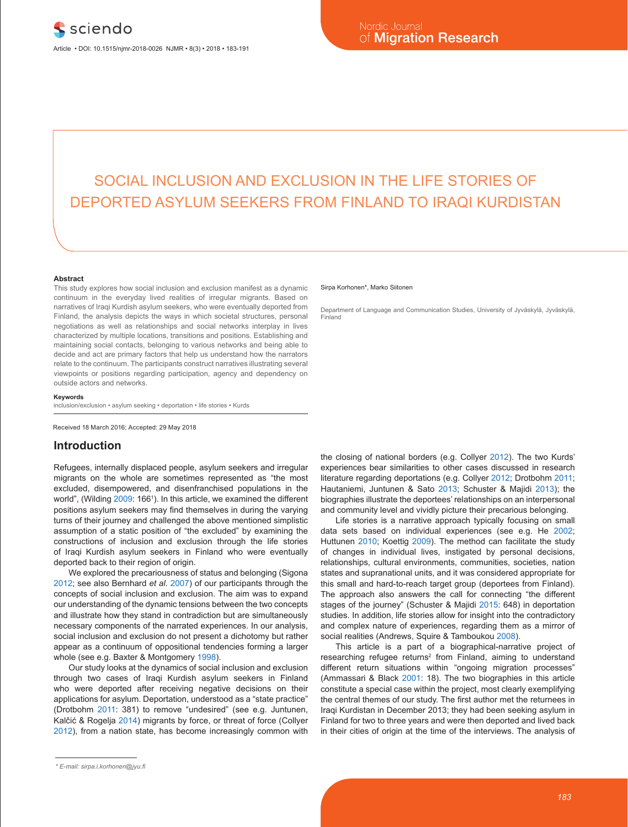# SOCIAL INCLUSION AND EXCLUSION IN THE LIFE STORIES OF DEPORTED ASYLUM SEEKERS FROM FINLAND TO IRAQI KURDISTAN

#### **Abstract**

This study explores how social inclusion and exclusion manifest as a dynamic continuum in the everyday lived realities of irregular migrants. Based on narratives of Iraqi Kurdish asylum seekers, who were eventually deported from Finland, the analysis depicts the ways in which societal structures, personal negotiations as well as relationships and social networks interplay in lives characterized by multiple locations, transitions and positions. Establishing and maintaining social contacts, belonging to various networks and being able to decide and act are primary factors that help us understand how the narrators relate to the continuum. The participants construct narratives illustrating several viewpoints or positions regarding participation, agency and dependency on outside actors and networks.

#### **Keywords**

inclusion/exclusion • asylum seeking • deportation • life stories • Kurds

Received 18 March 2016; Accepted: 29 May 2018

## **Introduction**

Refugees, internally displaced people, asylum seekers and irregular migrants on the whole are sometimes represented as "the most excluded, disempowered, and disenfranchised populations in the world", (Wilding 2009: 166<sup>1</sup>). In this article, we examined the different positions asylum seekers may find themselves in during the varying turns of their journey and challenged the above mentioned simplistic assumption of a static position of "the excluded" by examining the constructions of inclusion and exclusion through the life stories of Iraqi Kurdish asylum seekers in Finland who were eventually deported back to their region of origin.

We explored the precariousness of status and belonging (Sigona 2012; see also Bernhard *et al.* 2007) of our participants through the concepts of social inclusion and exclusion. The aim was to expand our understanding of the dynamic tensions between the two concepts and illustrate how they stand in contradiction but are simultaneously necessary components of the narrated experiences. In our analysis, social inclusion and exclusion do not present a dichotomy but rather appear as a continuum of oppositional tendencies forming a larger whole (see e.g. Baxter & Montgomery 1998).

Our study looks at the dynamics of social inclusion and exclusion through two cases of Iraqi Kurdish asylum seekers in Finland who were deported after receiving negative decisions on their applications for asylum. Deportation, understood as a "state practice" (Drotbohm 2011: 381) to remove "undesired" (see e.g. Juntunen, Kalčić & Rogelja 2014) migrants by force, or threat of force (Collyer 2012), from a nation state, has become increasingly common with

#### Sirpa Korhonen\*, Marko Siitonen

Department of Language and Communication Studies, University of Jyväskylä, Jyväskylä, Finland

the closing of national borders (e.g. Collyer 2012). The two Kurds' experiences bear similarities to other cases discussed in research literature regarding deportations (e.g. Collyer 2012; Drotbohm 2011; Hautaniemi, Juntunen & Sato 2013; Schuster & Majidi 2013); the biographies illustrate the deportees' relationships on an interpersonal and community level and vividly picture their precarious belonging.

Life stories is a narrative approach typically focusing on small data sets based on individual experiences (see e.g. He 2002; Huttunen 2010; Koettig 2009). The method can facilitate the study of changes in individual lives, instigated by personal decisions, relationships, cultural environments, communities, societies, nation states and supranational units, and it was considered appropriate for this small and hard-to-reach target group (deportees from Finland). The approach also answers the call for connecting "the different stages of the journey" (Schuster & Majidi 2015: 648) in deportation studies. In addition, life stories allow for insight into the contradictory and complex nature of experiences, regarding them as a mirror of social realities (Andrews, Squire & Tamboukou 2008).

This article is a part of a biographical-narrative project of researching refugee returns<sup>2</sup> from Finland, aiming to understand different return situations within "ongoing migration processes" (Ammassari & Black 2001: 18). The two biographies in this article constitute a special case within the project, most clearly exemplifying the central themes of our study. The first author met the returnees in Iraqi Kurdistan in December 2013; they had been seeking asylum in Finland for two to three years and were then deported and lived back in their cities of origin at the time of the interviews. The analysis of

*<sup>\*</sup> E-mail: sirpa.i.korhonen@jyu.fi*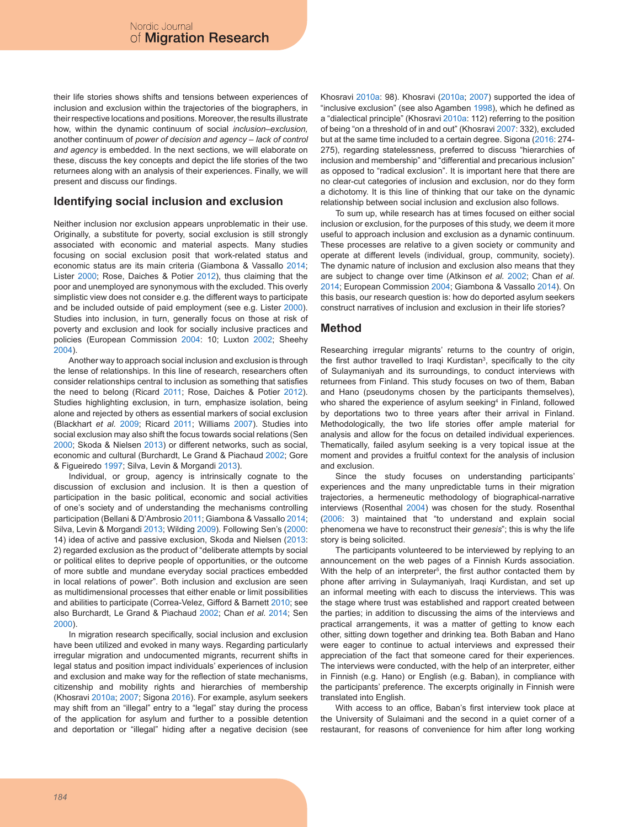their life stories shows shifts and tensions between experiences of inclusion and exclusion within the trajectories of the biographers, in their respective locations and positions. Moreover, the results illustrate how, within the dynamic continuum of social *inclusion*–*exclusion,* another continuum of *power of decision and agency* – *lack of control and agency* is embedded. In the next sections, we will elaborate on these, discuss the key concepts and depict the life stories of the two returnees along with an analysis of their experiences. Finally, we will present and discuss our findings.

# **Identifying social inclusion and exclusion**

Neither inclusion nor exclusion appears unproblematic in their use. Originally, a substitute for poverty, social exclusion is still strongly associated with economic and material aspects. Many studies focusing on social exclusion posit that work-related status and economic status are its main criteria (Giambona & Vassallo 2014; Lister 2000; Rose, Daiches & Potier 2012), thus claiming that the poor and unemployed are synonymous with the excluded. This overly simplistic view does not consider e.g. the different ways to participate and be included outside of paid employment (see e.g. Lister 2000). Studies into inclusion, in turn, generally focus on those at risk of poverty and exclusion and look for socially inclusive practices and policies (European Commission 2004: 10; Luxton 2002; Sheehy 2004).

Another way to approach social inclusion and exclusion is through the lense of relationships. In this line of research, researchers often consider relationships central to inclusion as something that satisfies the need to belong (Ricard 2011; Rose, Daiches & Potier 2012). Studies highlighting exclusion, in turn, emphasize isolation, being alone and rejected by others as essential markers of social exclusion (Blackhart *et al.* 2009; Ricard 2011; Williams 2007). Studies into social exclusion may also shift the focus towards social relations (Sen 2000; Skoda & Nielsen 2013) or different networks, such as social, economic and cultural (Burchardt, Le Grand & Piachaud 2002; Gore & Figueiredo 1997; Silva, Levin & Morgandi 2013).

Individual, or group, agency is intrinsically cognate to the discussion of exclusion and inclusion. It is then a question of participation in the basic political, economic and social activities of one's society and of understanding the mechanisms controlling participation (Bellani & D'Ambrosio 2011; Giambona & Vassallo 2014; Silva, Levin & Morgandi 2013; Wilding 2009). Following Sen's (2000: 14) idea of active and passive exclusion, Skoda and Nielsen (2013: 2) regarded exclusion as the product of "deliberate attempts by social or political elites to deprive people of opportunities, or the outcome of more subtle and mundane everyday social practices embedded in local relations of power". Both inclusion and exclusion are seen as multidimensional processes that either enable or limit possibilities and abilities to participate (Correa-Velez, Gifford & Barnett 2010; see also Burchardt, Le Grand & Piachaud 2002; Chan *et al.* 2014; Sen 2000).

In migration research specifically, social inclusion and exclusion have been utilized and evoked in many ways. Regarding particularly irregular migration and undocumented migrants, recurrent shifts in legal status and position impact individuals' experiences of inclusion and exclusion and make way for the reflection of state mechanisms, citizenship and mobility rights and hierarchies of membership (Khosravi 2010a; 2007; Sigona 2016). For example, asylum seekers may shift from an "illegal" entry to a "legal" stay during the process of the application for asylum and further to a possible detention and deportation or "illegal" hiding after a negative decision (see

Khosravi 2010a: 98). Khosravi (2010a; 2007) supported the idea of "inclusive exclusion" (see also Agamben 1998), which he defined as a "dialectical principle" (Khosravi 2010a: 112) referring to the position of being "on a threshold of in and out" (Khosravi 2007: 332), excluded but at the same time included to a certain degree. Sigona (2016: 274- 275), regarding statelessness, preferred to discuss "hierarchies of inclusion and membership" and "differential and precarious inclusion" as opposed to "radical exclusion". It is important here that there are no clear-cut categories of inclusion and exclusion, nor do they form a dichotomy. It is this line of thinking that our take on the dynamic relationship between social inclusion and exclusion also follows.

To sum up, while research has at times focused on either social inclusion or exclusion, for the purposes of this study, we deem it more useful to approach inclusion and exclusion as a dynamic continuum. These processes are relative to a given society or community and operate at different levels (individual, group, community, society). The dynamic nature of inclusion and exclusion also means that they are subject to change over time (Atkinson *et al.* 2002; Chan *et al.* 2014; European Commission 2004; Giambona & Vassallo 2014). On this basis, our research question is: how do deported asylum seekers construct narratives of inclusion and exclusion in their life stories?

# **Method**

Researching irregular migrants' returns to the country of origin, the first author travelled to Iraqi Kurdistan<sup>3</sup>, specifically to the city of Sulaymaniyah and its surroundings, to conduct interviews with returnees from Finland. This study focuses on two of them, Baban and Hano (pseudonyms chosen by the participants themselves), who shared the experience of asylum seeking<sup>4</sup> in Finland, followed by deportations two to three years after their arrival in Finland. Methodologically, the two life stories offer ample material for analysis and allow for the focus on detailed individual experiences. Thematically, failed asylum seeking is a very topical issue at the moment and provides a fruitful context for the analysis of inclusion and exclusion.

Since the study focuses on understanding participants' experiences and the many unpredictable turns in their migration trajectories, a hermeneutic methodology of biographical-narrative interviews (Rosenthal 2004) was chosen for the study. Rosenthal (2006: 3) maintained that "to understand and explain social phenomena we have to reconstruct their *genesis*"; this is why the life story is being solicited.

The participants volunteered to be interviewed by replying to an announcement on the web pages of a Finnish Kurds association. With the help of an interpreter<sup>5</sup>, the first author contacted them by phone after arriving in Sulaymaniyah, Iraqi Kurdistan, and set up an informal meeting with each to discuss the interviews. This was the stage where trust was established and rapport created between the parties; in addition to discussing the aims of the interviews and practical arrangements, it was a matter of getting to know each other, sitting down together and drinking tea. Both Baban and Hano were eager to continue to actual interviews and expressed their appreciation of the fact that someone cared for their experiences. The interviews were conducted, with the help of an interpreter, either in Finnish (e.g. Hano) or English (e.g. Baban), in compliance with the participants' preference. The excerpts originally in Finnish were translated into English.

With access to an office, Baban's first interview took place at the University of Sulaimani and the second in a quiet corner of a restaurant, for reasons of convenience for him after long working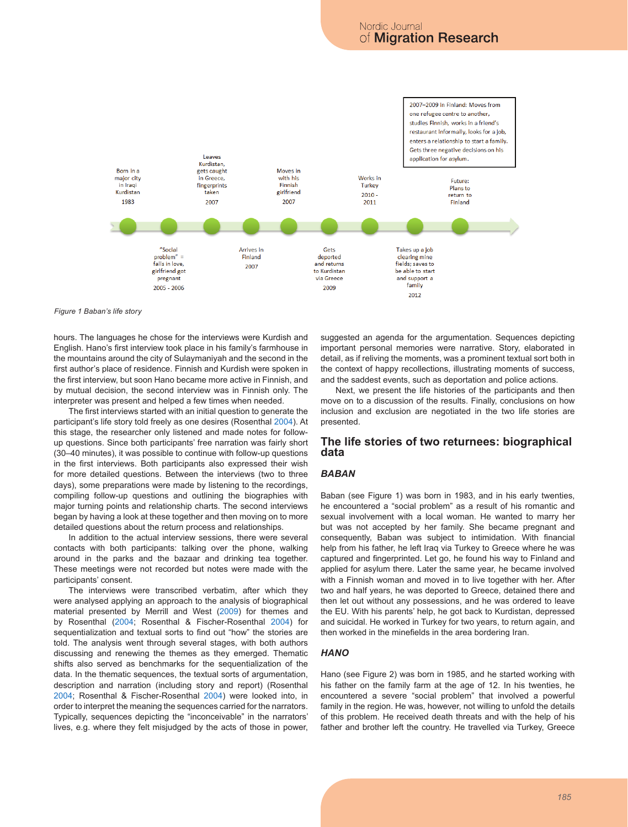

*Figure 1 Baban's life story*

hours. The languages he chose for the interviews were Kurdish and English. Hano's first interview took place in his family's farmhouse in the mountains around the city of Sulaymaniyah and the second in the first author's place of residence. Finnish and Kurdish were spoken in the first interview, but soon Hano became more active in Finnish, and by mutual decision, the second interview was in Finnish only. The interpreter was present and helped a few times when needed.

The first interviews started with an initial question to generate the participant's life story told freely as one desires (Rosenthal 2004). At this stage, the researcher only listened and made notes for followup questions. Since both participants' free narration was fairly short (30–40 minutes), it was possible to continue with follow-up questions in the first interviews. Both participants also expressed their wish for more detailed questions. Between the interviews (two to three days), some preparations were made by listening to the recordings, compiling follow-up questions and outlining the biographies with major turning points and relationship charts. The second interviews began by having a look at these together and then moving on to more detailed questions about the return process and relationships.

In addition to the actual interview sessions, there were several contacts with both participants: talking over the phone, walking around in the parks and the bazaar and drinking tea together. These meetings were not recorded but notes were made with the participants' consent.

The interviews were transcribed verbatim, after which they were analysed applying an approach to the analysis of biographical material presented by Merrill and West (2009) for themes and by Rosenthal (2004; Rosenthal & Fischer-Rosenthal 2004) for sequentialization and textual sorts to find out "how" the stories are told. The analysis went through several stages, with both authors discussing and renewing the themes as they emerged. Thematic shifts also served as benchmarks for the sequentialization of the data. In the thematic sequences, the textual sorts of argumentation, description and narration (including story and report) (Rosenthal 2004; Rosenthal & Fischer-Rosenthal 2004) were looked into, in order to interpret the meaning the sequences carried for the narrators. Typically, sequences depicting the "inconceivable" in the narrators' lives, e.g. where they felt misjudged by the acts of those in power, suggested an agenda for the argumentation. Sequences depicting important personal memories were narrative. Story, elaborated in detail, as if reliving the moments, was a prominent textual sort both in the context of happy recollections, illustrating moments of success, and the saddest events, such as deportation and police actions.

Next, we present the life histories of the participants and then move on to a discussion of the results. Finally, conclusions on how inclusion and exclusion are negotiated in the two life stories are presented.

## **The life stories of two returnees: biographical data**

## *BABAN*

Baban (see Figure 1) was born in 1983, and in his early twenties, he encountered a "social problem" as a result of his romantic and sexual involvement with a local woman. He wanted to marry her but was not accepted by her family. She became pregnant and consequently, Baban was subject to intimidation. With financial help from his father, he left Iraq via Turkey to Greece where he was captured and fingerprinted. Let go, he found his way to Finland and applied for asylum there. Later the same year, he became involved with a Finnish woman and moved in to live together with her. After two and half years, he was deported to Greece, detained there and then let out without any possessions, and he was ordered to leave the EU. With his parents' help, he got back to Kurdistan, depressed and suicidal. He worked in Turkey for two years, to return again, and then worked in the minefields in the area bordering Iran.

## *HANO*

Hano (see Figure 2) was born in 1985, and he started working with his father on the family farm at the age of 12. In his twenties, he encountered a severe "social problem" that involved a powerful family in the region. He was, however, not willing to unfold the details of this problem. He received death threats and with the help of his father and brother left the country. He travelled via Turkey, Greece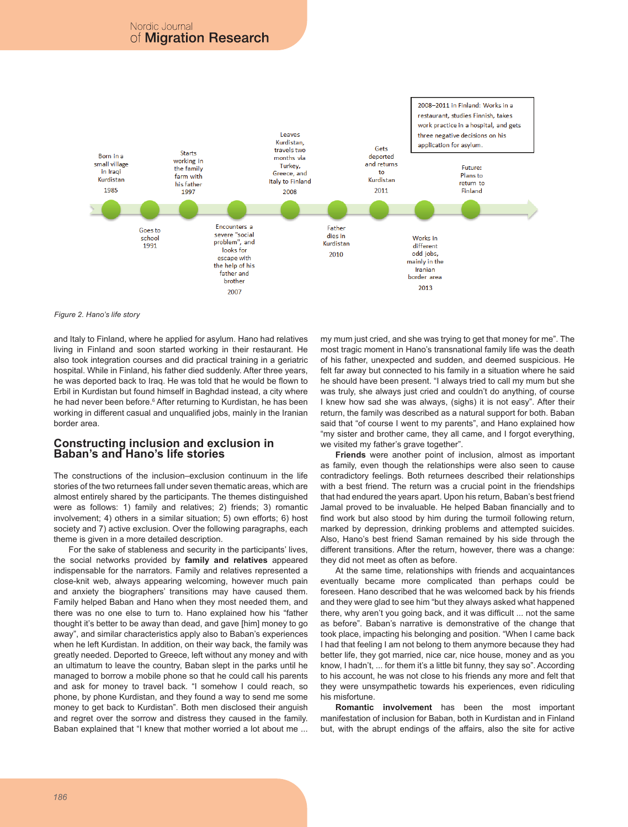# Nordic Journal of **Migration Research**



*Figure 2. Hano's life story*

and Italy to Finland, where he applied for asylum. Hano had relatives living in Finland and soon started working in their restaurant. He also took integration courses and did practical training in a geriatric hospital. While in Finland, his father died suddenly. After three years, he was deported back to Iraq. He was told that he would be flown to Erbil in Kurdistan but found himself in Baghdad instead, a city where he had never been before.<sup>6</sup> After returning to Kurdistan, he has been working in different casual and unqualified jobs, mainly in the Iranian border area.

# **Constructing inclusion and exclusion in Baban's and Hano's life stories**

The constructions of the inclusion–exclusion continuum in the life stories of the two returnees fall under seven thematic areas, which are almost entirely shared by the participants. The themes distinguished were as follows: 1) family and relatives; 2) friends; 3) romantic involvement; 4) others in a similar situation; 5) own efforts; 6) host society and 7) active exclusion. Over the following paragraphs, each theme is given in a more detailed description.

For the sake of stableness and security in the participants' lives, the social networks provided by **family and relatives** appeared indispensable for the narrators. Family and relatives represented a close-knit web, always appearing welcoming, however much pain and anxiety the biographers' transitions may have caused them. Family helped Baban and Hano when they most needed them, and there was no one else to turn to. Hano explained how his "father thought it's better to be away than dead, and gave [him] money to go away", and similar characteristics apply also to Baban's experiences when he left Kurdistan. In addition, on their way back, the family was greatly needed. Deported to Greece, left without any money and with an ultimatum to leave the country, Baban slept in the parks until he managed to borrow a mobile phone so that he could call his parents and ask for money to travel back. "I somehow I could reach, so phone, by phone Kurdistan, and they found a way to send me some money to get back to Kurdistan". Both men disclosed their anguish and regret over the sorrow and distress they caused in the family. Baban explained that "I knew that mother worried a lot about me ...

my mum just cried, and she was trying to get that money for me". The most tragic moment in Hano's transnational family life was the death of his father, unexpected and sudden, and deemed suspicious. He felt far away but connected to his family in a situation where he said he should have been present. "I always tried to call my mum but she was truly, she always just cried and couldn't do anything, of course I knew how sad she was always, (sighs) it is not easy". After their return, the family was described as a natural support for both. Baban said that "of course I went to my parents", and Hano explained how "my sister and brother came, they all came, and I forgot everything, we visited my father's grave together".

**Friends** were another point of inclusion, almost as important as family, even though the relationships were also seen to cause contradictory feelings. Both returnees described their relationships with a best friend. The return was a crucial point in the friendships that had endured the years apart. Upon his return, Baban's best friend Jamal proved to be invaluable. He helped Baban financially and to find work but also stood by him during the turmoil following return, marked by depression, drinking problems and attempted suicides. Also, Hano's best friend Saman remained by his side through the different transitions. After the return, however, there was a change: they did not meet as often as before.

At the same time, relationships with friends and acquaintances eventually became more complicated than perhaps could be foreseen. Hano described that he was welcomed back by his friends and they were glad to see him "but they always asked what happened there, why aren't you going back, and it was difficult ... not the same as before". Baban's narrative is demonstrative of the change that took place, impacting his belonging and position. "When I came back I had that feeling I am not belong to them anymore because they had better life, they got married, nice car, nice house, money and as you know, I hadn't, ... for them it's a little bit funny, they say so". According to his account, he was not close to his friends any more and felt that they were unsympathetic towards his experiences, even ridiculing his misfortune.

**Romantic involvement** has been the most important manifestation of inclusion for Baban, both in Kurdistan and in Finland but, with the abrupt endings of the affairs, also the site for active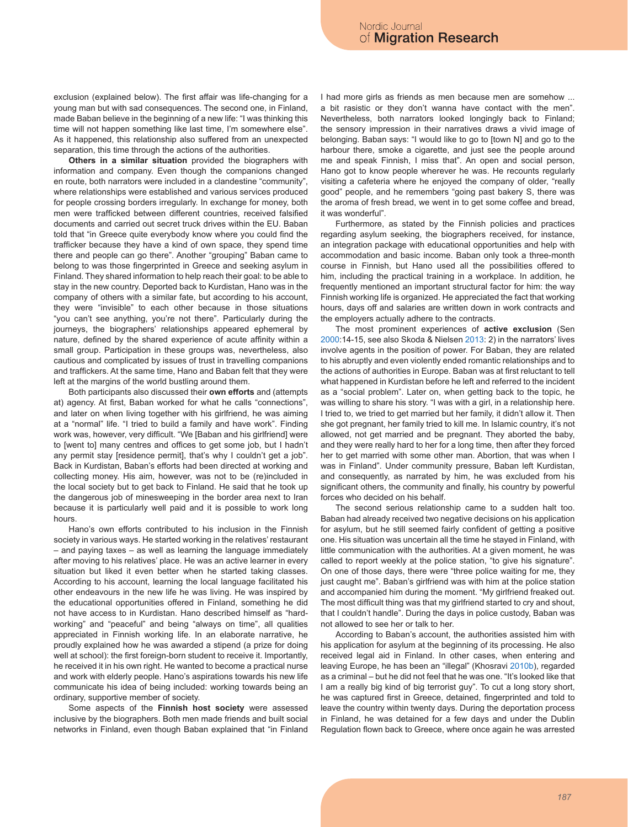exclusion (explained below). The first affair was life-changing for a young man but with sad consequences. The second one, in Finland, made Baban believe in the beginning of a new life: "I was thinking this time will not happen something like last time, I'm somewhere else". As it happened, this relationship also suffered from an unexpected separation, this time through the actions of the authorities.

**Others in a similar situation** provided the biographers with information and company. Even though the companions changed en route, both narrators were included in a clandestine "community", where relationships were established and various services produced for people crossing borders irregularly. In exchange for money, both men were trafficked between different countries, received falsified documents and carried out secret truck drives within the EU. Baban told that "in Greece quite everybody know where you could find the trafficker because they have a kind of own space, they spend time there and people can go there". Another "grouping" Baban came to belong to was those fingerprinted in Greece and seeking asylum in Finland. They shared information to help reach their goal: to be able to stay in the new country. Deported back to Kurdistan, Hano was in the company of others with a similar fate, but according to his account, they were "invisible" to each other because in those situations "you can't see anything, you're not there". Particularly during the journeys, the biographers' relationships appeared ephemeral by nature, defined by the shared experience of acute affinity within a small group. Participation in these groups was, nevertheless, also cautious and complicated by issues of trust in travelling companions and traffickers. At the same time, Hano and Baban felt that they were left at the margins of the world bustling around them.

Both participants also discussed their **own efforts** and (attempts at) agency. At first, Baban worked for what he calls "connections", and later on when living together with his girlfriend, he was aiming at a "normal" life. "I tried to build a family and have work". Finding work was, however, very difficult. "We [Baban and his girlfriend] were to [went to] many centres and offices to get some job, but I hadn't any permit stay [residence permit], that's why I couldn't get a job". Back in Kurdistan, Baban's efforts had been directed at working and collecting money. His aim, however, was not to be (re)included in the local society but to get back to Finland. He said that he took up the dangerous job of minesweeping in the border area next to Iran because it is particularly well paid and it is possible to work long hours.

Hano's own efforts contributed to his inclusion in the Finnish society in various ways. He started working in the relatives' restaurant – and paying taxes – as well as learning the language immediately after moving to his relatives' place. He was an active learner in every situation but liked it even better when he started taking classes. According to his account, learning the local language facilitated his other endeavours in the new life he was living. He was inspired by the educational opportunities offered in Finland, something he did not have access to in Kurdistan. Hano described himself as "hardworking" and "peaceful" and being "always on time", all qualities appreciated in Finnish working life. In an elaborate narrative, he proudly explained how he was awarded a stipend (a prize for doing well at school): the first foreign-born student to receive it. Importantly, he received it in his own right. He wanted to become a practical nurse and work with elderly people. Hano's aspirations towards his new life communicate his idea of being included: working towards being an ordinary, supportive member of society.

Some aspects of the **Finnish host society** were assessed inclusive by the biographers. Both men made friends and built social networks in Finland, even though Baban explained that "in Finland I had more girls as friends as men because men are somehow ... a bit rasistic or they don't wanna have contact with the men". Nevertheless, both narrators looked longingly back to Finland; the sensory impression in their narratives draws a vivid image of belonging. Baban says: "I would like to go to [town N] and go to the harbour there, smoke a cigarette, and just see the people around me and speak Finnish, I miss that". An open and social person, Hano got to know people wherever he was. He recounts regularly visiting a cafeteria where he enjoyed the company of older, "really good" people, and he remembers "going past bakery S, there was the aroma of fresh bread, we went in to get some coffee and bread, it was wonderful".

Furthermore, as stated by the Finnish policies and practices regarding asylum seeking, the biographers received, for instance, an integration package with educational opportunities and help with accommodation and basic income. Baban only took a three-month course in Finnish, but Hano used all the possibilities offered to him, including the practical training in a workplace. In addition, he frequently mentioned an important structural factor for him: the way Finnish working life is organized. He appreciated the fact that working hours, days off and salaries are written down in work contracts and the employers actually adhere to the contracts.

The most prominent experiences of **active exclusion** (Sen 2000:14-15, see also Skoda & Nielsen 2013: 2) in the narrators' lives involve agents in the position of power. For Baban, they are related to his abruptly and even violently ended romantic relationships and to the actions of authorities in Europe. Baban was at first reluctant to tell what happened in Kurdistan before he left and referred to the incident as a "social problem". Later on, when getting back to the topic, he was willing to share his story. "I was with a girl, in a relationship here. I tried to, we tried to get married but her family, it didn't allow it. Then she got pregnant, her family tried to kill me. In Islamic country, it's not allowed, not get married and be pregnant. They aborted the baby, and they were really hard to her for a long time, then after they forced her to get married with some other man. Abortion, that was when I was in Finland". Under community pressure, Baban left Kurdistan, and consequently, as narrated by him, he was excluded from his significant others, the community and finally, his country by powerful forces who decided on his behalf.

The second serious relationship came to a sudden halt too. Baban had already received two negative decisions on his application for asylum, but he still seemed fairly confident of getting a positive one. His situation was uncertain all the time he stayed in Finland, with little communication with the authorities. At a given moment, he was called to report weekly at the police station, "to give his signature". On one of those days, there were "three police waiting for me, they just caught me". Baban's girlfriend was with him at the police station and accompanied him during the moment. "My girlfriend freaked out. The most difficult thing was that my girlfriend started to cry and shout, that I couldn't handle". During the days in police custody, Baban was not allowed to see her or talk to her.

According to Baban's account, the authorities assisted him with his application for asylum at the beginning of its processing. He also received legal aid in Finland. In other cases, when entering and leaving Europe, he has been an "illegal" (Khosravi 2010b), regarded as a criminal – but he did not feel that he was one. "It's looked like that I am a really big kind of big terrorist guy". To cut a long story short, he was captured first in Greece, detained, fingerprinted and told to leave the country within twenty days. During the deportation process in Finland, he was detained for a few days and under the Dublin Regulation flown back to Greece, where once again he was arrested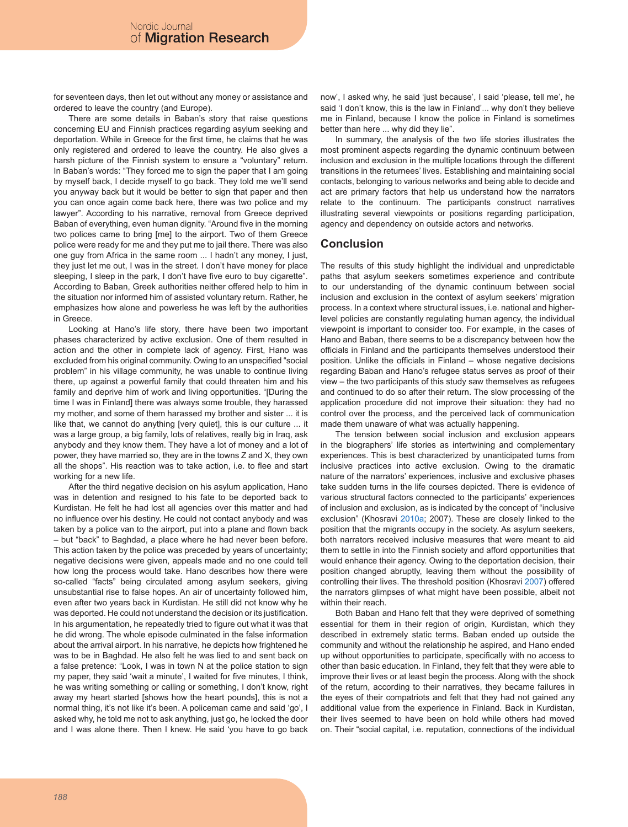for seventeen days, then let out without any money or assistance and ordered to leave the country (and Europe).

There are some details in Baban's story that raise questions concerning EU and Finnish practices regarding asylum seeking and deportation. While in Greece for the first time, he claims that he was only registered and ordered to leave the country. He also gives a harsh picture of the Finnish system to ensure a "voluntary" return. In Baban's words: "They forced me to sign the paper that I am going by myself back, I decide myself to go back. They told me we'll send you anyway back but it would be better to sign that paper and then you can once again come back here, there was two police and my lawyer". According to his narrative, removal from Greece deprived Baban of everything, even human dignity, "Around five in the morning two polices came to bring [me] to the airport. Two of them Greece police were ready for me and they put me to jail there. There was also one guy from Africa in the same room ... I hadn't any money, I just, they just let me out, I was in the street. I don't have money for place sleeping, I sleep in the park, I don't have five euro to buy cigarette". According to Baban, Greek authorities neither offered help to him in the situation nor informed him of assisted voluntary return. Rather, he emphasizes how alone and powerless he was left by the authorities in Greece.

Looking at Hano's life story, there have been two important phases characterized by active exclusion. One of them resulted in action and the other in complete lack of agency. First, Hano was excluded from his original community. Owing to an unspecified "social problem" in his village community, he was unable to continue living there, up against a powerful family that could threaten him and his family and deprive him of work and living opportunities. "[During the time I was in Finland] there was always some trouble, they harassed my mother, and some of them harassed my brother and sister ... it is like that, we cannot do anything [very quiet], this is our culture ... it was a large group, a big family, lots of relatives, really big in Iraq, ask anybody and they know them. They have a lot of money and a lot of power, they have married so, they are in the towns Z and X, they own all the shops". His reaction was to take action, i.e. to flee and start working for a new life.

After the third negative decision on his asylum application, Hano was in detention and resigned to his fate to be deported back to Kurdistan. He felt he had lost all agencies over this matter and had no influence over his destiny. He could not contact anybody and was taken by a police van to the airport, put into a plane and flown back – but "back" to Baghdad, a place where he had never been before. This action taken by the police was preceded by years of uncertainty; negative decisions were given, appeals made and no one could tell how long the process would take. Hano describes how there were so-called "facts" being circulated among asylum seekers, giving unsubstantial rise to false hopes. An air of uncertainty followed him, even after two years back in Kurdistan. He still did not know why he was deported. He could not understand the decision or its justification. In his argumentation, he repeatedly tried to figure out what it was that he did wrong. The whole episode culminated in the false information about the arrival airport. In his narrative, he depicts how frightened he was to be in Baghdad. He also felt he was lied to and sent back on a false pretence: "Look, I was in town N at the police station to sign my paper, they said 'wait a minute', I waited for five minutes, I think, he was writing something or calling or something, I don't know, right away my heart started [shows how the heart pounds], this is not a normal thing, it's not like it's been. A policeman came and said 'go', I asked why, he told me not to ask anything, just go, he locked the door and I was alone there. Then I knew. He said 'you have to go back

now', I asked why, he said 'just because', I said 'please, tell me', he said 'I don't know, this is the law in Finland'... why don't they believe me in Finland, because I know the police in Finland is sometimes better than here ... why did they lie".

In summary, the analysis of the two life stories illustrates the most prominent aspects regarding the dynamic continuum between inclusion and exclusion in the multiple locations through the different transitions in the returnees' lives. Establishing and maintaining social contacts, belonging to various networks and being able to decide and act are primary factors that help us understand how the narrators relate to the continuum. The participants construct narratives illustrating several viewpoints or positions regarding participation, agency and dependency on outside actors and networks.

## **Conclusion**

The results of this study highlight the individual and unpredictable paths that asylum seekers sometimes experience and contribute to our understanding of the dynamic continuum between social inclusion and exclusion in the context of asylum seekers' migration process. In a context where structural issues, i.e. national and higherlevel policies are constantly regulating human agency, the individual viewpoint is important to consider too. For example, in the cases of Hano and Baban, there seems to be a discrepancy between how the officials in Finland and the participants themselves understood their position. Unlike the officials in Finland – whose negative decisions regarding Baban and Hano's refugee status serves as proof of their view – the two participants of this study saw themselves as refugees and continued to do so after their return. The slow processing of the application procedure did not improve their situation: they had no control over the process, and the perceived lack of communication made them unaware of what was actually happening.

The tension between social inclusion and exclusion appears in the biographers' life stories as intertwining and complementary experiences. This is best characterized by unanticipated turns from inclusive practices into active exclusion. Owing to the dramatic nature of the narrators' experiences, inclusive and exclusive phases take sudden turns in the life courses depicted. There is evidence of various structural factors connected to the participants' experiences of inclusion and exclusion, as is indicated by the concept of "inclusive exclusion" (Khosravi 2010a; 2007). These are closely linked to the position that the migrants occupy in the society. As asylum seekers, both narrators received inclusive measures that were meant to aid them to settle in into the Finnish society and afford opportunities that would enhance their agency. Owing to the deportation decision, their position changed abruptly, leaving them without the possibility of controlling their lives. The threshold position (Khosravi 2007) offered the narrators glimpses of what might have been possible, albeit not within their reach.

Both Baban and Hano felt that they were deprived of something essential for them in their region of origin, Kurdistan, which they described in extremely static terms. Baban ended up outside the community and without the relationship he aspired, and Hano ended up without opportunities to participate, specifically with no access to other than basic education. In Finland, they felt that they were able to improve their lives or at least begin the process. Along with the shock of the return, according to their narratives, they became failures in the eyes of their compatriots and felt that they had not gained any additional value from the experience in Finland. Back in Kurdistan, their lives seemed to have been on hold while others had moved on. Their "social capital, i.e. reputation, connections of the individual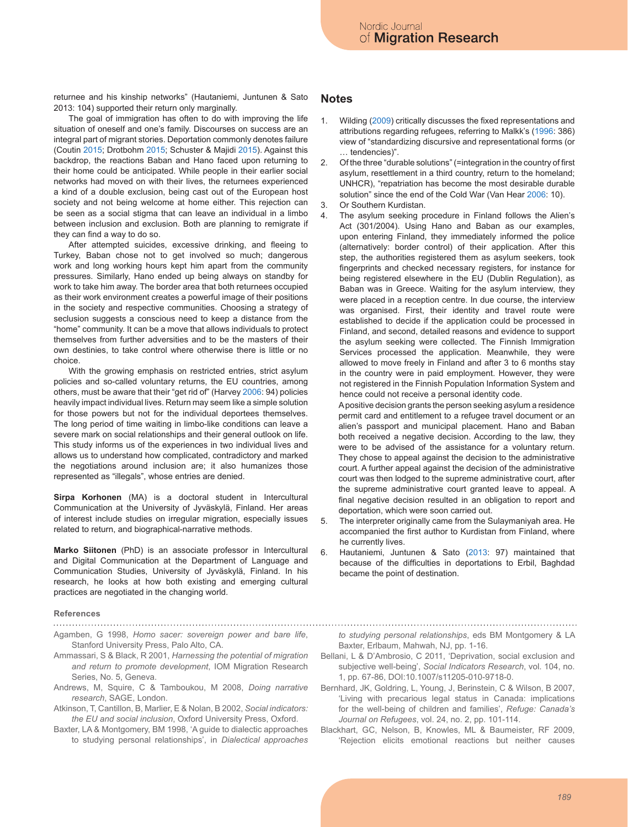returnee and his kinship networks" (Hautaniemi, Juntunen & Sato 2013: 104) supported their return only marginally.

The goal of immigration has often to do with improving the life situation of oneself and one's family. Discourses on success are an integral part of migrant stories. Deportation commonly denotes failure (Coutin 2015; Drotbohm 2015; Schuster & Majidi 2015). Against this backdrop, the reactions Baban and Hano faced upon returning to their home could be anticipated. While people in their earlier social networks had moved on with their lives, the returnees experienced a kind of a double exclusion, being cast out of the European host society and not being welcome at home either. This rejection can be seen as a social stigma that can leave an individual in a limbo between inclusion and exclusion. Both are planning to remigrate if they can find a way to do so.

After attempted suicides, excessive drinking, and fleeing to Turkey, Baban chose not to get involved so much; dangerous work and long working hours kept him apart from the community pressures. Similarly, Hano ended up being always on standby for work to take him away. The border area that both returnees occupied as their work environment creates a powerful image of their positions in the society and respective communities. Choosing a strategy of seclusion suggests a conscious need to keep a distance from the "home" community. It can be a move that allows individuals to protect themselves from further adversities and to be the masters of their own destinies, to take control where otherwise there is little or no choice.

With the growing emphasis on restricted entries, strict asylum policies and so-called voluntary returns, the EU countries, among others, must be aware that their "get rid of" (Harvey 2006: 94) policies heavily impact individual lives. Return may seem like a simple solution for those powers but not for the individual deportees themselves. The long period of time waiting in limbo-like conditions can leave a severe mark on social relationships and their general outlook on life. This study informs us of the experiences in two individual lives and allows us to understand how complicated, contradictory and marked the negotiations around inclusion are; it also humanizes those represented as "illegals", whose entries are denied.

**Sirpa Korhonen** (MA) is a doctoral student in Intercultural Communication at the University of Jyväskylä, Finland. Her areas of interest include studies on irregular migration, especially issues related to return, and biographical-narrative methods.

**Marko Siitonen** (PhD) is an associate professor in Intercultural and Digital Communication at the Department of Language and Communication Studies, University of Jyväskylä, Finland. In his research, he looks at how both existing and emerging cultural practices are negotiated in the changing world.

#### **References**

- Agamben, G 1998, *Homo sacer: sovereign power and bare life*, Stanford University Press, Palo Alto, CA.
- Ammassari, S & Black, R 2001, *Harnessing the potential of migration and return to promote development*, IOM Migration Research Series, No. 5, Geneva.
- Andrews, M, Squire, C & Tamboukou, M 2008, *Doing narrative research*, SAGE, London.
- Atkinson, T, Cantillon, B, Marlier, E & Nolan, B 2002, *Social indicators: the EU and social inclusion*, Oxford University Press, Oxford.
- Baxter, LA & Montgomery, BM 1998, 'A guide to dialectic approaches to studying personal relationships', in *Dialectical approaches*

## **Notes**

- 1. Wilding (2009) critically discusses the fixed representations and attributions regarding refugees, referring to Malkk's (1996: 386) view of "standardizing discursive and representational forms (or … tendencies)".
- 2. Of the three "durable solutions" (=integration in the country of first asylum, resettlement in a third country, return to the homeland; UNHCR), "repatriation has become the most desirable durable solution" since the end of the Cold War (Van Hear 2006: 10).
- 3. Or Southern Kurdistan.
- 4. The asylum seeking procedure in Finland follows the Alien's Act (301/2004). Using Hano and Baban as our examples, upon entering Finland, they immediately informed the police (alternatively: border control) of their application. After this step, the authorities registered them as asylum seekers, took fingerprints and checked necessary registers, for instance for being registered elsewhere in the EU (Dublin Regulation), as Baban was in Greece. Waiting for the asylum interview, they were placed in a reception centre. In due course, the interview was organised. First, their identity and travel route were established to decide if the application could be processed in Finland, and second, detailed reasons and evidence to support the asylum seeking were collected. The Finnish Immigration Services processed the application. Meanwhile, they were allowed to move freely in Finland and after 3 to 6 months stay in the country were in paid employment. However, they were not registered in the Finnish Population Information System and hence could not receive a personal identity code.

A positive decision grants the person seeking asylum a residence permit card and entitlement to a refugee travel document or an alien's passport and municipal placement. Hano and Baban both received a negative decision. According to the law, they were to be advised of the assistance for a voluntary return. They chose to appeal against the decision to the administrative court. A further appeal against the decision of the administrative court was then lodged to the supreme administrative court, after the supreme administrative court granted leave to appeal. A final negative decision resulted in an obligation to report and deportation, which were soon carried out.

- 5. The interpreter originally came from the Sulaymaniyah area. He accompanied the first author to Kurdistan from Finland, where he currently lives.
- 6. Hautaniemi, Juntunen & Sato (2013: 97) maintained that because of the difficulties in deportations to Erbil, Baghdad became the point of destination.

*to studying personal relationships*, eds BM Montgomery & LA Baxter, Erlbaum, Mahwah, NJ, pp. 1-16.

- Bellani, L & D'Ambrosio, C 2011, 'Deprivation, social exclusion and subjective well-being', *Social Indicators Research*, vol. 104, no. 1, pp. 67-86, DOI:10.1007/s11205-010-9718-0.
- Bernhard, JK, Goldring, L, Young, J, Berinstein, C & Wilson, B 2007, 'Living with precarious legal status in Canada: implications for the well-being of children and families', *Refuge: Canada's Journal on Refugees*, vol. 24, no. 2, pp. 101-114.
- Blackhart, GC, Nelson, B, Knowles, ML & Baumeister, RF 2009, 'Rejection elicits emotional reactions but neither causes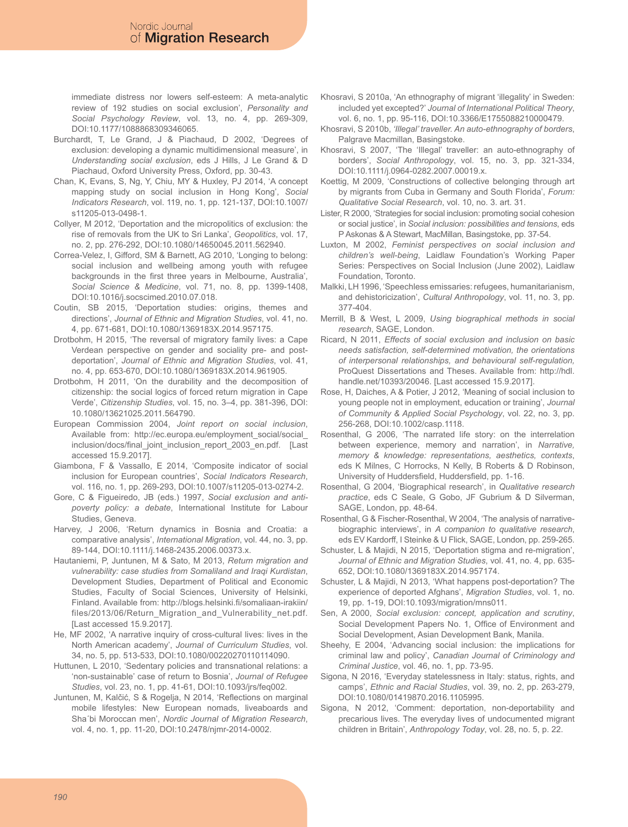immediate distress nor lowers self-esteem: A meta-analytic review of 192 studies on social exclusion', *Personality and Social Psychology Review*, vol. 13, no. 4, pp. 269-309, DOI:10.1177/1088868309346065.

- Burchardt, T, Le Grand, J & Piachaud, D 2002, 'Degrees of exclusion: developing a dynamic multidimensional measure', in *Understanding social exclusion*, eds J Hills, J Le Grand & D Piachaud, Oxford University Press, Oxford, pp. 30-43.
- Chan, K, Evans, S, Ng, Y, Chiu, MY & Huxley, PJ 2014, 'A concept mapping study on social inclusion in Hong Kong', *Social Indicators Research*, vol. 119, no. 1, pp. 121-137, DOI:10.1007/ s11205-013-0498-1.
- Collyer, M 2012, 'Deportation and the micropolitics of exclusion: the rise of removals from the UK to Sri Lanka', *Geopolitics*, vol. 17, no. 2, pp. 276-292, DOI:10.1080/14650045.2011.562940.
- Correa-Velez, I, Gifford, SM & Barnett, AG 2010, 'Longing to belong: social inclusion and wellbeing among youth with refugee backgrounds in the first three years in Melbourne, Australia', *Social Science & Medicine*, vol. 71, no. 8, pp. 1399-1408, DOI:10.1016/j.socscimed.2010.07.018.
- Coutin, SB 2015, 'Deportation studies: origins, themes and directions', *Journal of Ethnic and Migration Studies*, vol. 41, no. 4, pp. 671-681, DOI:10.1080/1369183X.2014.957175.
- Drotbohm, H 2015, 'The reversal of migratory family lives: a Cape Verdean perspective on gender and sociality pre- and postdeportation', *Journal of Ethnic and Migration Studies*, vol. 41, no. 4, pp. 653-670, DOI:10.1080/1369183X.2014.961905.
- Drotbohm, H 2011, 'On the durability and the decomposition of citizenship: the social logics of forced return migration in Cape Verde', *Citizenship Studies*, vol. 15, no. 3–4, pp. 381-396, DOI: 10.1080/13621025.2011.564790.
- European Commission 2004, *Joint report on social inclusion*, Available from: http://ec.europa.eu/employment\_social/social\_ inclusion/docs/final\_joint\_inclusion\_report\_2003\_en.pdf. [Last accessed 15.9.2017].
- Giambona, F & Vassallo, E 2014, 'Composite indicator of social inclusion for European countries', *Social Indicators Research*, vol. 116, no. 1, pp. 269-293, DOI:10.1007/s11205-013-0274-2.
- Gore, C & Figueiredo, JB (eds.) 1997, *Social exclusion and antipoverty policy: a debate*, International Institute for Labour Studies, Geneva.
- Harvey, J 2006, 'Return dynamics in Bosnia and Croatia: a comparative analysis', *International Migration*, vol. 44, no. 3, pp. 89-144, DOI:10.1111/j.1468-2435.2006.00373.x.
- Hautaniemi, P, Juntunen, M & Sato, M 2013, *Return migration and vulnerability: case studies from Somaliland and Iraqi Kurdistan*, Development Studies, Department of Political and Economic Studies, Faculty of Social Sciences, University of Helsinki, Finland. Available from: http://blogs.helsinki.fi/somaliaan-irakiin/ files/2013/06/Return\_Migration\_and\_Vulnerability\_net.pdf. [Last accessed 15.9.2017].
- He, MF 2002, 'A narrative inquiry of cross-cultural lives: lives in the North American academy', *Journal of Curriculum Studies*, vol. 34, no. 5, pp. 513-533, DOI:10.1080/00220270110114090.
- Huttunen, L 2010, 'Sedentary policies and transnational relations: a 'non-sustainable' case of return to Bosnia', *Journal of Refugee Studies*, vol. 23, no. 1, pp. 41-61, DOI:10.1093/jrs/feq002.
- Juntunen, M, Kalčić, S & Rogelja, N 2014, 'Reflections on marginal mobile lifestyles: New European nomads, liveaboards and Sha´bi Moroccan men', *Nordic Journal of Migration Research*, vol. 4, no. 1, pp. 11-20, DOI:10.2478/njmr-2014-0002.
- Khosravi, S 2010a, 'An ethnography of migrant 'illegality' in Sweden: included yet excepted?' *Journal of International Political Theory*, vol. 6, no. 1, pp. 95-116, DOI:10.3366/E1755088210000479.
- Khosravi, S 2010b, *'Illegal' traveller. An auto-ethnography of borders*, Palgrave Macmillan, Basingstoke.
- Khosravi, S 2007, 'The 'Illegal' traveller: an auto-ethnography of borders', *Social Anthropology*, vol. 15, no. 3, pp. 321-334, DOI:10.1111/j.0964-0282.2007.00019.x.
- Koettig, M 2009, 'Constructions of collective belonging through art by migrants from Cuba in Germany and South Florida', *Forum: Qualitative Social Research*, vol. 10, no. 3. art. 31.
- Lister, R 2000, 'Strategies for social inclusion: promoting social cohesion or social justice', in *Social inclusion: possibilities and tensions*, eds P Askonas & A Stewart, MacMillan, Basingstoke, pp. 37-54.
- Luxton, M 2002, *Feminist perspectives on social inclusion and children's well-being*, Laidlaw Foundation's Working Paper Series: Perspectives on Social Inclusion (June 2002), Laidlaw Foundation, Toronto.
- Malkki, LH 1996, 'Speechless emissaries: refugees, humanitarianism, and dehistoricization', *Cultural Anthropology*, vol. 11, no. 3, pp. 377-404.
- Merrill, B & West, L 2009, *Using biographical methods in social research*, SAGE, London.
- Ricard, N 2011, *Effects of social exclusion and inclusion on basic needs satisfaction, self-determined motivation, the orientations of interpersonal relationships, and behavioural self-regulation,*  ProQuest Dissertations and Theses. Available from: http://hdl. handle.net/10393/20046. [Last accessed 15.9.2017].
- Rose, H, Daiches, A & Potier, J 2012, 'Meaning of social inclusion to young people not in employment, education or training', *Journal of Community & Applied Social Psychology*, vol. 22, no. 3, pp. 256-268, DOI:10.1002/casp.1118.
- Rosenthal, G 2006, 'The narrated life story: on the interrelation between experience, memory and narration', in *Narrative, memory & knowledge: representations, aesthetics, contexts*, eds K Milnes, C Horrocks, N Kelly, B Roberts & D Robinson, University of Huddersfield, Huddersfield, pp. 1-16.
- Rosenthal, G 2004, 'Biographical research', in *Qualitative research practice*, eds C Seale, G Gobo, JF Gubrium & D Silverman, SAGE, London, pp. 48-64.
- Rosenthal, G & Fischer-Rosenthal, W 2004, 'The analysis of narrativebiographic interviews', in *A companion to qualitative research*, eds EV Kardorff, I Steinke & U Flick, SAGE, London, pp. 259-265.
- Schuster, L & Majidi, N 2015, 'Deportation stigma and re-migration', *Journal of Ethnic and Migration Studies*, vol. 41, no. 4, pp. 635- 652, DOI:10.1080/1369183X.2014.957174.
- Schuster, L & Majidi, N 2013, 'What happens post-deportation? The experience of deported Afghans', *Migration Studies*, vol. 1, no. 19, pp. 1-19, DOI:10.1093/migration/mns011.
- Sen, A 2000, *Social exclusion: concept, application and scrutiny*, Social Development Papers No. 1, Office of Environment and Social Development, Asian Development Bank, Manila.
- Sheehy, E 2004, 'Advancing social inclusion: the implications for criminal law and policy', *Canadian Journal of Criminology and Criminal Justice*, vol. 46, no. 1, pp. 73-95.
- Sigona, N 2016, 'Everyday statelessness in Italy: status, rights, and camps', *Ethnic and Racial Studies*, vol. 39, no. 2, pp. 263-279, DOI:10.1080/01419870.2016.1105995.
- Sigona, N 2012, 'Comment: deportation, non-deportability and precarious lives. The everyday lives of undocumented migrant children in Britain', *Anthropology Today*, vol. 28, no. 5, p. 22.